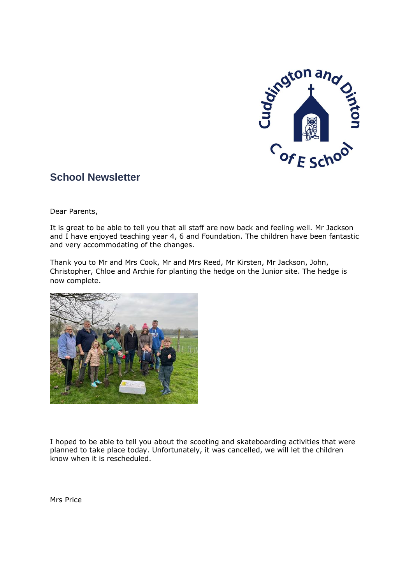

# **School Newsletter**

Dear Parents,

It is great to be able to tell you that all staff are now back and feeling well. Mr Jackson and I have enjoyed teaching year 4, 6 and Foundation. The children have been fantastic and very accommodating of the changes.

Thank you to Mr and Mrs Cook, Mr and Mrs Reed, Mr Kirsten, Mr Jackson, John, Christopher, Chloe and Archie for planting the hedge on the Junior site. The hedge is now complete.



I hoped to be able to tell you about the scooting and skateboarding activities that were planned to take place today. Unfortunately, it was cancelled, we will let the children know when it is rescheduled.

Mrs Price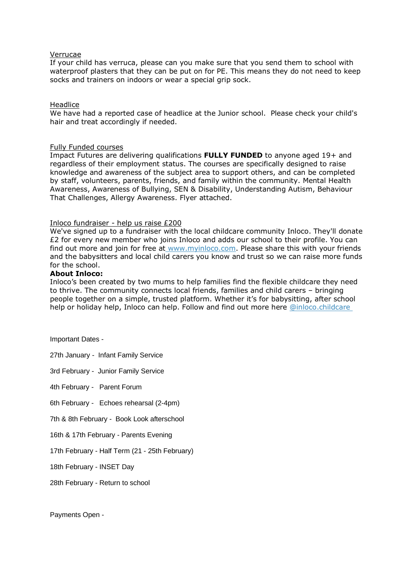#### Verrucae

If your child has verruca, please can you make sure that you send them to school with waterproof plasters that they can be put on for PE. This means they do not need to keep socks and trainers on indoors or wear a special grip sock.

#### Headlice

We have had a reported case of headlice at the Junior school. Please check your child's hair and treat accordingly if needed.

#### Fully Funded courses

Impact Futures are delivering qualifications **FULLY FUNDED** to anyone aged 19+ and regardless of their employment status. The courses are specifically designed to raise knowledge and awareness of the subject area to support others, and can be completed by staff, volunteers, parents, friends, and family within the community. Mental Health Awareness, Awareness of Bullying, SEN & Disability, Understanding Autism, Behaviour That Challenges, Allergy Awareness. Flyer attached.

### Inloco fundraiser - help us raise £200

We've signed up to a fundraiser with the local childcare community Inloco. They'll donate £2 for every new member who joins Inloco and adds our school to their profile. You can find out more and join for free at [www.myinloco.com.](http://www.myinloco.com/) Please share this with your friends and the babysitters and local child carers you know and trust so we can raise more funds for the school.

#### **About Inloco:**

Inloco's been created by two mums to help families find the flexible childcare they need to thrive. The community connects local friends, families and child carers – bringing people together on a simple, trusted platform. Whether it's for babysitting, after school help or holiday help, Inloco can help. Follow and find out more here [@](http://goog_1826971871/)[inloco.childcare](https://www.facebook.com/inloco.childcare)

Important Dates -

27th January - Infant Family Service

3rd February - Junior Family Service

4th February - Parent Forum

6th February - Echoes rehearsal (2-4pm)

7th & 8th February - Book Look afterschool

16th & 17th February - Parents Evening

17th February - Half Term (21 - 25th February)

18th February - INSET Day

28th February - Return to school

Payments Open -